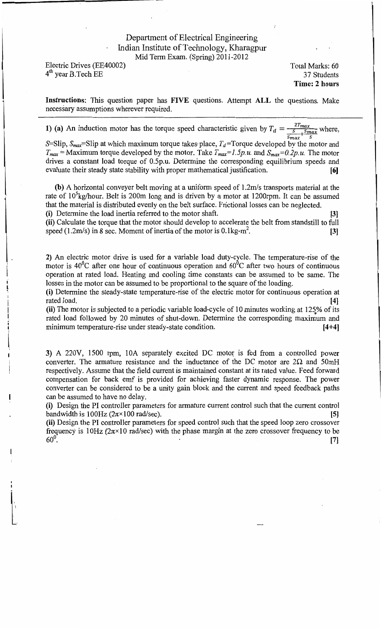## Department of Electrical Engineering Indian Institute of Technology, Kharagpur Mid Term Exam. (Spring) 2011-2012

Electric Drives (EE40002) 4<sup>th</sup> year B. Tech EE

l

Total Marks: 60 37 Students **Time: 2 hours** 

**Instructions:** This question paper has **FIVE** questions. Attempt **ALL** the questions. Make necessary assumptions wherever requited.

**1)** (a) An induction motor has the torque speed characteristic given by  $T_d = \frac{2T_{max}}{S_{max} + S_{max}}$  where,

S=Slip,  $S_{max}$ =Slip at which maximum torque takes place,  $T_d$ =Torque developed by the motor and  $T_{max}$  = Maximum torque developed by the motor. Take  $T_{max}$  = 1.5p.u. and  $S_{max}$  = 0.2p.u. The motor drives a constant load torque of 0.5p.u. Determine the corresponding equilibrium speeds and evaluate their steady state stability with proper mathematical justification. **(6]** 

**(b)** A horizontal conveyer belt moving at a uniform speed of 1.2m/s transports material at the rate of 10<sup>5</sup>kg/hour. Belt is 200m long and is driven by a motor at 1200rpm. It can be assumed that the material is distributed evenly on the belt surface. Frictional losses can be neglected.

**(i)** Determine the load inertia referred to the motor shaft. [3) **(ii)** Calculate the torque that the motor should develop to accelerate the belt from standstill to full speed (1.2m/s) in 8 sec. Moment of inertia of the motor is  $0.1 \text{kg-m}^2$ .  $\left[3\right]$ 

**2)** An electric motor drive is used for a variable load duty-cycle. The temperature-rise of the motor is  $40^{\circ}$ C after one hour of continuous operation and  $60^{\circ}$ C after two hours of continuous operation at rated load. Heating and cooling time constants can be assumed to be same. The losses in the motor can be assumed to be proportional to the square of the loading.

**(i)** Determine the steady-state temperature-rise of the electric motor for continuous operation at rated load. **[4]** 

(ii) The motor is subjected to a periodic variable load-cycle of 10 minutes working at 125% of its rated load followed by 20 minutes of shut-down. Determine the corresponding maximum and minimum temperature-rise under steady-state condition. **[4+4)** 

**3)** A 220V, 1500 rpm, 10A separately excited DC motor is fed from a controlled power converter. The armature resistance and the inductance of the DC motor are  $2\Omega$  and 50mH respectively. Assume that the field current is maintained constant at its rated value. Feed forward compensation for back emf is provided for achieving faster dynamic response. The power converter can be considered to be a unity gain block and the current and speed feedback paths can be assumed to have no delay.

**(i)** Design the PI controller parameters for armature current control such that the current control bandwidth is  $100\text{Hz}$  ( $2\pi \times 100$  rad/sec). **[5] [5]** 

**(ii)** Design the PI controller parameters for speed control such that the speed loop zero crossover frequency is 10Hz ( $2\pi \times 10$  rad/sec) with the phase margin at the zero crossover frequency to be  $60^{\circ}$ . [7]